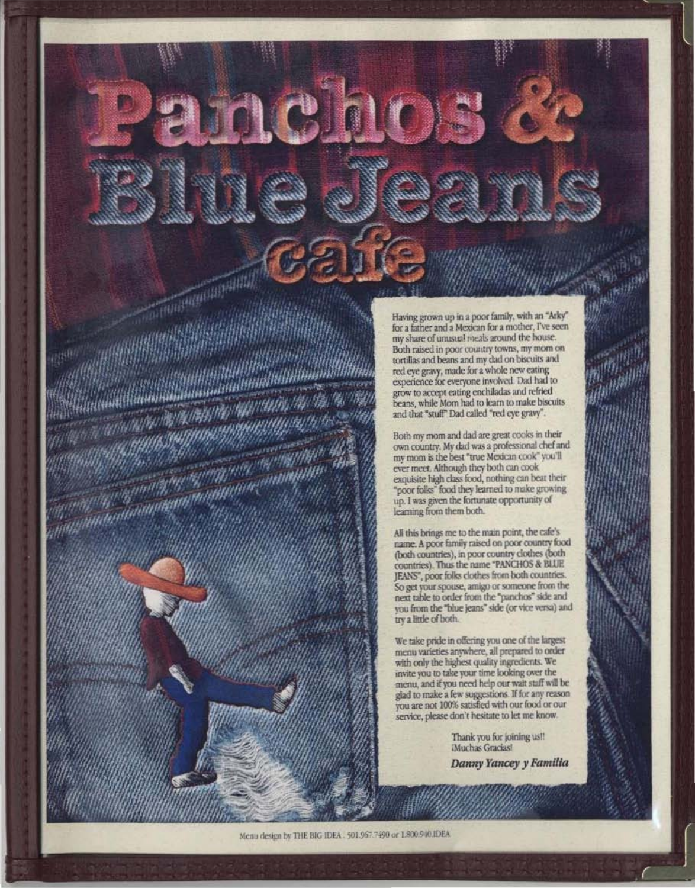Having grown up in a poor family, with an "Arky" for a father and a Mexican for a mother, I've seen my share of unusual meals around the house. Both raised in poor country towns, my mom on tortillas and beans and my dad on biscuits and red eve gravy, made for a whole new eating experience for everyone involved. Dad had to grow to accept eating enchiladas and refried beans, while Mom had to learn to make biscuits and that "stuff" Dad called "red eye gravy".

Both my mom and dad are great cooks in their own country. My dad was a professional chef and my mom is the best "true Mexican cook" you'll ever meet. Although they both can cook exquisite high class food, nothing can beat their "poor folks" food they learned to make growing up. I was given the fortunate opportunity of learning from them both.

All this brings me to the main point, the cafe's name. A poor family raised on poor country food (both countries), in poor country clothes (both countries). Thus the name "PANCHOS & BLUE JEANS", poor folks clothes from both countries. So get your spouse, amigo or someone from the next table to order from the "panchos" side and you from the "blue jeans" side (or vice versa) and try a little of both.

We take pride in offering you one of the largest menu varieties anywhere, all prepared to order<br>with only the highest quality ingredients. We invite you to take your time looking over the menu, and if you need help our wait staff will be glad to make a few suggestions. If for any reason<br>you are not 100% satisfied with our food or our service, please don't hesitate to let me know.

> Thank you for joining us!! Muchas Gracias! Danny Yancey y Familia

ORTHUMAN (1899) 121

WHO.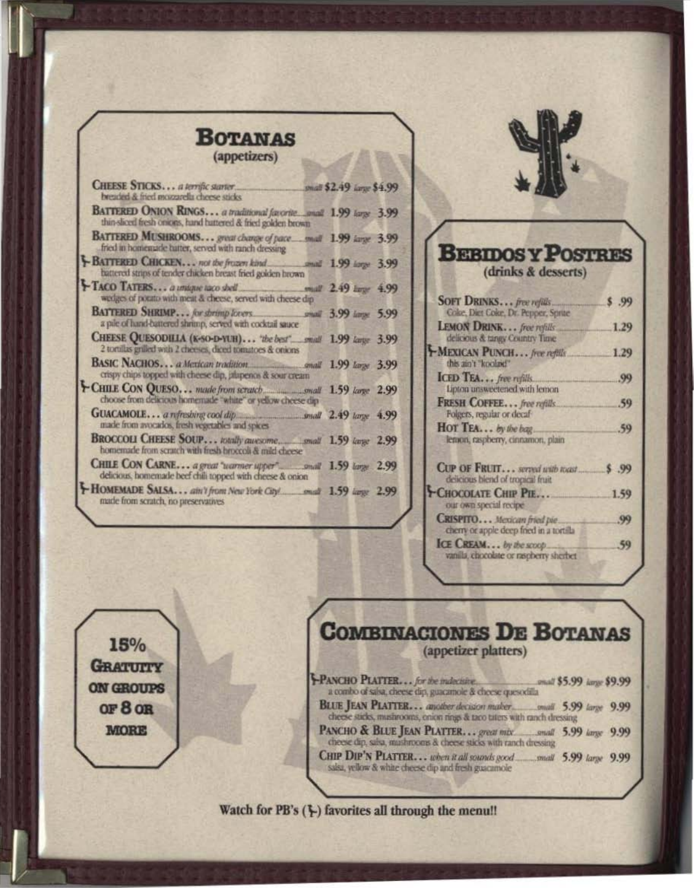| $\cdots$                                                                                                                          |                          |  |
|-----------------------------------------------------------------------------------------------------------------------------------|--------------------------|--|
| (appetizers)                                                                                                                      |                          |  |
| CHEESE STICKS a terrific starter<br>breaded & fried mozzarella cheese sticks                                                      | mall \$2.49 large \$4.99 |  |
| BATTERED ONION RINGS a traditional favorite_gnall 1.99 large 3.99<br>thin-sliced fresh onions, hand hattered & fried golden brown |                          |  |
| BATTERED MUSHROOMS great change of pace mull 1.99 iarge 3.99<br>fried in homenatic batter, served with ranch dressing             |                          |  |
| BATTERED CHICKEN not the fruzen kind and 1.99 large 3.99<br>battered strips of tender chicken breast fried golden brown           |                          |  |
| TACO TATERS a unique taco shell<br>mall 2.49 brgr 4.99<br>wedges of porato with meat & cheese, served with cheese dip             |                          |  |
| BATTERED SHRIMP for shrimp lovers small 3.99 large 5.99<br>a pile of hand-battered shrimp, served with cocktail sauce             |                          |  |
| CHEESE QUESODILLA (K-SO-D-YUH) "the best" mull 1.99 kange 3.99<br>2 tortillas grilled with 2 cheeses, diced tomatoes & onions     |                          |  |
| BASIC NACHOS a Mexican tradition small 1.99 large 3.99<br>crispy chips topped with cheese dip, jalapenos & sour cream             |                          |  |
| CHILE CON QUESO made from scratch manusmall 1.59 large 2.99<br>choose from delicious homemade "white" or yellow cheese dip-       |                          |  |
| GUACAMOLE a refreshing cool dip small 2.49 large 4.99<br>made from avocados, fresh vegetables and spices                          |                          |  |
| homemade from scratch with fresh broccoli & mild cheese                                                                           |                          |  |
| CHILE CON CARNE a great "warmer upper" small 1.59 large 2.99<br>delicious, homemade beef chili topped with cheese & onion         |                          |  |
| made from scratch, no preservatives                                                                                               |                          |  |
|                                                                                                                                   |                          |  |

15%

**GRATUITY** 

ON GROUPS

OF 8 OR

**MORE** 

**Bomanzaci** 



## **BEBIDOSY POSTRES** (drinks & desserts)

| SOFT DRINKS free refuls<br>Coke, Diet Coke, Dr. Pepper, Sprite          | .99  |
|-------------------------------------------------------------------------|------|
| LEMON DRINK free refulls<br>delicious & tangy Country Time              | 1.29 |
| MEXICAN PUNCH free refills<br>this ain't "koolaid"                      | 1.29 |
| ICED TEA free rights<br>Lipton unsweetened with lemon                   | 99   |
| FRESH COFFEE free refills.<br>Folgers, regular or decaf-                | 59   |
| HOT TEA by the bag.<br>lemon, raspberry, cinnamon, plain                | .59  |
| CUP OF FRUIT served with roast<br>delicious blend of tropical fruit     | , 99 |
| <b>-CHOCOLATE CHIP PIE</b><br>our own special recipe                    | 1.59 |
| CRISPITO Mexican fried pie.<br>cherry or apple deep fried in a tortilla | .99  |
| ICE CREAM by the scoop.<br>vanila, chocolate or napherry sherber        | 59   |

**COMBINACIONES DE BOTANAS** (appetizer platters) PANCHO PLATTER... for the indecisive. anall \$5.99 large \$9.99

cheese sticks, mushrooms, enion rings & taco taters with ranch dressing PANCHO & BLUE JEAN PLATTER... great mix small 5.99 large 9.99 cheese dip, salva, mushrooms & cheese sticks with ranch dressing

CHIP DIP'N PLATTER... when it all sounds good small 5.99 large 9.99 salsa, yellow & white cheese dip and fresh guacamole

Watch for PB's (}) favorites all through the menu!!